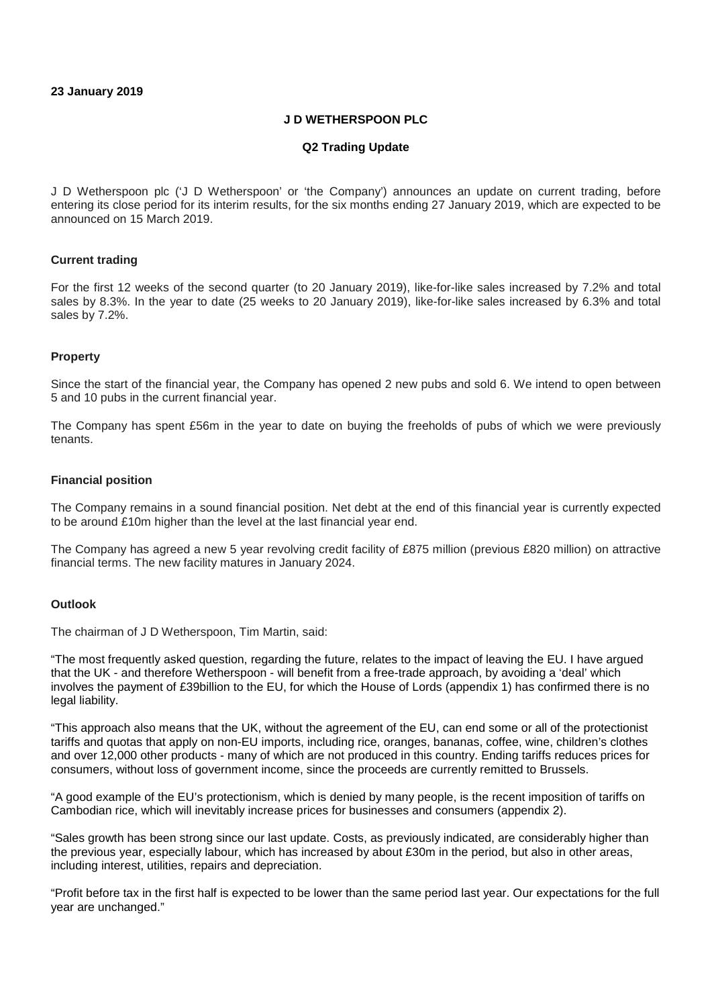# **J D WETHERSPOON PLC**

### **Q2 Trading Update**

J D Wetherspoon plc ('J D Wetherspoon' or 'the Company') announces an update on current trading, before entering its close period for its interim results, for the six months ending 27 January 2019, which are expected to be announced on 15 March 2019.

### **Current trading**

For the first 12 weeks of the second quarter (to 20 January 2019), like-for-like sales increased by 7.2% and total sales by 8.3%. In the year to date (25 weeks to 20 January 2019), like-for-like sales increased by 6.3% and total sales by 7.2%.

### **Property**

Since the start of the financial year, the Company has opened 2 new pubs and sold 6. We intend to open between 5 and 10 pubs in the current financial year.

The Company has spent £56m in the year to date on buying the freeholds of pubs of which we were previously tenants.

#### **Financial position**

The Company remains in a sound financial position. Net debt at the end of this financial year is currently expected to be around £10m higher than the level at the last financial year end.

The Company has agreed a new 5 year revolving credit facility of £875 million (previous £820 million) on attractive financial terms. The new facility matures in January 2024.

### **Outlook**

The chairman of J D Wetherspoon, Tim Martin, said:

"The most frequently asked question, regarding the future, relates to the impact of leaving the EU. I have argued that the UK - and therefore Wetherspoon - will benefit from a free-trade approach, by avoiding a 'deal' which involves the payment of £39billion to the EU, for which the House of Lords (appendix 1) has confirmed there is no legal liability.

"This approach also means that the UK, without the agreement of the EU, can end some or all of the protectionist tariffs and quotas that apply on non-EU imports, including rice, oranges, bananas, coffee, wine, children's clothes and over 12,000 other products - many of which are not produced in this country. Ending tariffs reduces prices for consumers, without loss of government income, since the proceeds are currently remitted to Brussels.

"A good example of the EU's protectionism, which is denied by many people, is the recent imposition of tariffs on Cambodian rice, which will inevitably increase prices for businesses and consumers (appendix 2).

"Sales growth has been strong since our last update. Costs, as previously indicated, are considerably higher than the previous year, especially labour, which has increased by about £30m in the period, but also in other areas, including interest, utilities, repairs and depreciation.

"Profit before tax in the first half is expected to be lower than the same period last year. Our expectations for the full year are unchanged."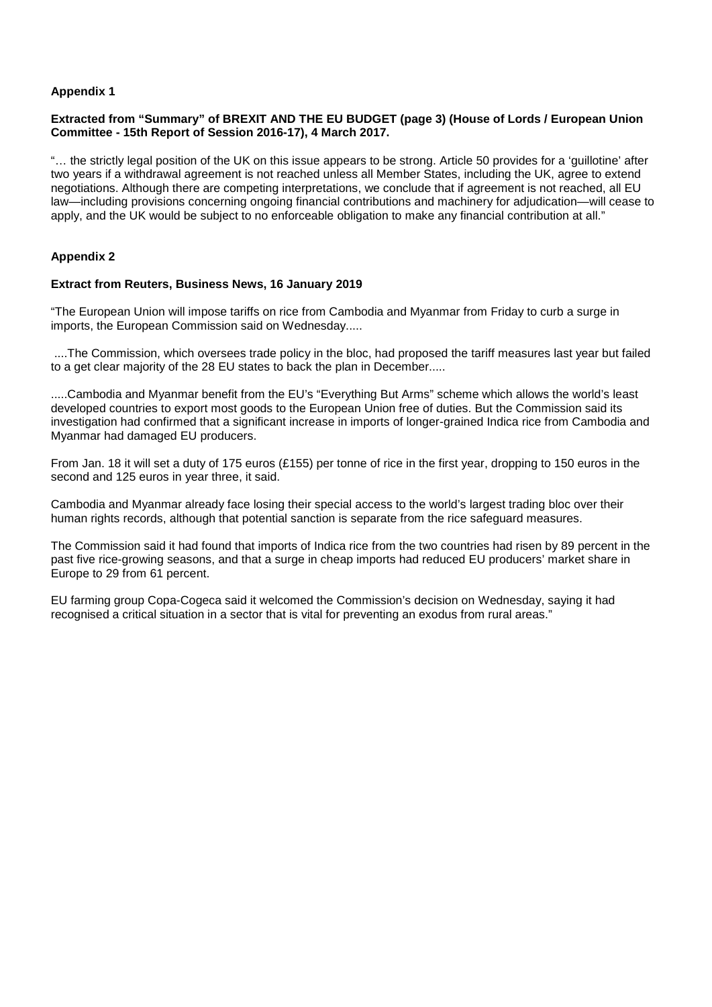# **Appendix 1**

# **Extracted from "Summary" of BREXIT AND THE EU BUDGET (page 3) (House of Lords / European Union Committee - 15th Report of Session 2016-17), 4 March 2017.**

"… the strictly legal position of the UK on this issue appears to be strong. Article 50 provides for a 'guillotine' after two years if a withdrawal agreement is not reached unless all Member States, including the UK, agree to extend negotiations. Although there are competing interpretations, we conclude that if agreement is not reached, all EU law—including provisions concerning ongoing financial contributions and machinery for adjudication—will cease to apply, and the UK would be subject to no enforceable obligation to make any financial contribution at all."

# **Appendix 2**

### **Extract from Reuters, Business News, 16 January 2019**

"The European Union will impose tariffs on rice from Cambodia and Myanmar from Friday to curb a surge in imports, the European Commission said on Wednesday.....

....The Commission, which oversees trade policy in the bloc, had proposed the tariff measures last year but failed to a get clear majority of the 28 EU states to back the plan in December.....

.....Cambodia and Myanmar benefit from the EU's "Everything But Arms" scheme which allows the world's least developed countries to export most goods to the European Union free of duties. But the Commission said its investigation had confirmed that a significant increase in imports of longer-grained Indica rice from Cambodia and Myanmar had damaged EU producers.

From Jan. 18 it will set a duty of 175 euros (£155) per tonne of rice in the first year, dropping to 150 euros in the second and 125 euros in year three, it said.

Cambodia and Myanmar already face losing their special access to the world's largest trading bloc over their human rights records, although that potential sanction is separate from the rice safeguard measures.

The Commission said it had found that imports of Indica rice from the two countries had risen by 89 percent in the past five rice-growing seasons, and that a surge in cheap imports had reduced EU producers' market share in Europe to 29 from 61 percent.

EU farming group Copa-Cogeca said it welcomed the Commission's decision on Wednesday, saying it had recognised a critical situation in a sector that is vital for preventing an exodus from rural areas."